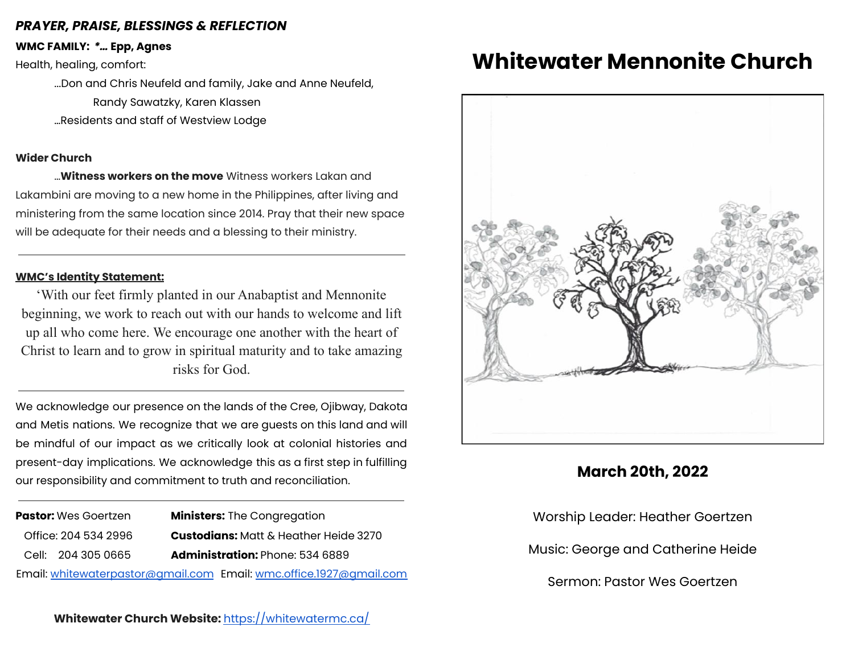## *PRAYER, PRAISE, BLESSINGS & REFLECTION*

**WMC FAMILY:** *\*…* **Epp, Agnes**

Health, healing, comfort:

...Don and Chris Neufeld and family, Jake and Anne Neufeld, Randy Sawatzky, Karen Klassen …Residents and staff of Westview Lodge

### **Wider Church**

…**Witness workers on the move** Witness workers Lakan and Lakambini are moving to a new home in the Philippines, after living and ministering from the same location since 2014. Pray that their new space will be adequate for their needs and a blessing to their ministry.

### **WMC's Identity Statement:**

'With our feet firmly planted in our Anabaptist and Mennonite beginning, we work to reach out with our hands to welcome and lift up all who come here. We encourage one another with the heart of Christ to learn and to grow in spiritual maturity and to take amazing risks for God.

We acknowledge our presence on the lands of the Cree, Ojibway, Dakota and Metis nations. We recognize that we are guests on this land and will be mindful of our impact as we critically look at colonial histories and present-day implications. We acknowledge this as a first step in fulfilling our responsibility and commitment to truth and reconciliation.

**Pastor:** Wes Goertzen **Ministers:** The Congregation Office: 204 534 2996 **Custodians:** Matt & Heather Heide 3270 Cell: 204 305 0665 **Administration:** Phone: 534 6889 Email: [whitewaterpastor@gmail.com](mailto:whitewaterpastor@gmail.com) Email: [wmc.office.1927@gmail.com](mailto:wmc.office.1927@gmail.com)

## **Whitewater Church Website:** <https://whitewatermc.ca/>

# **Whitewater Mennonite Church**



# **March 20th, 2022**

Worship Leader: Heather Goertzen Music: George and Catherine Heide Sermon: Pastor Wes Goertzen